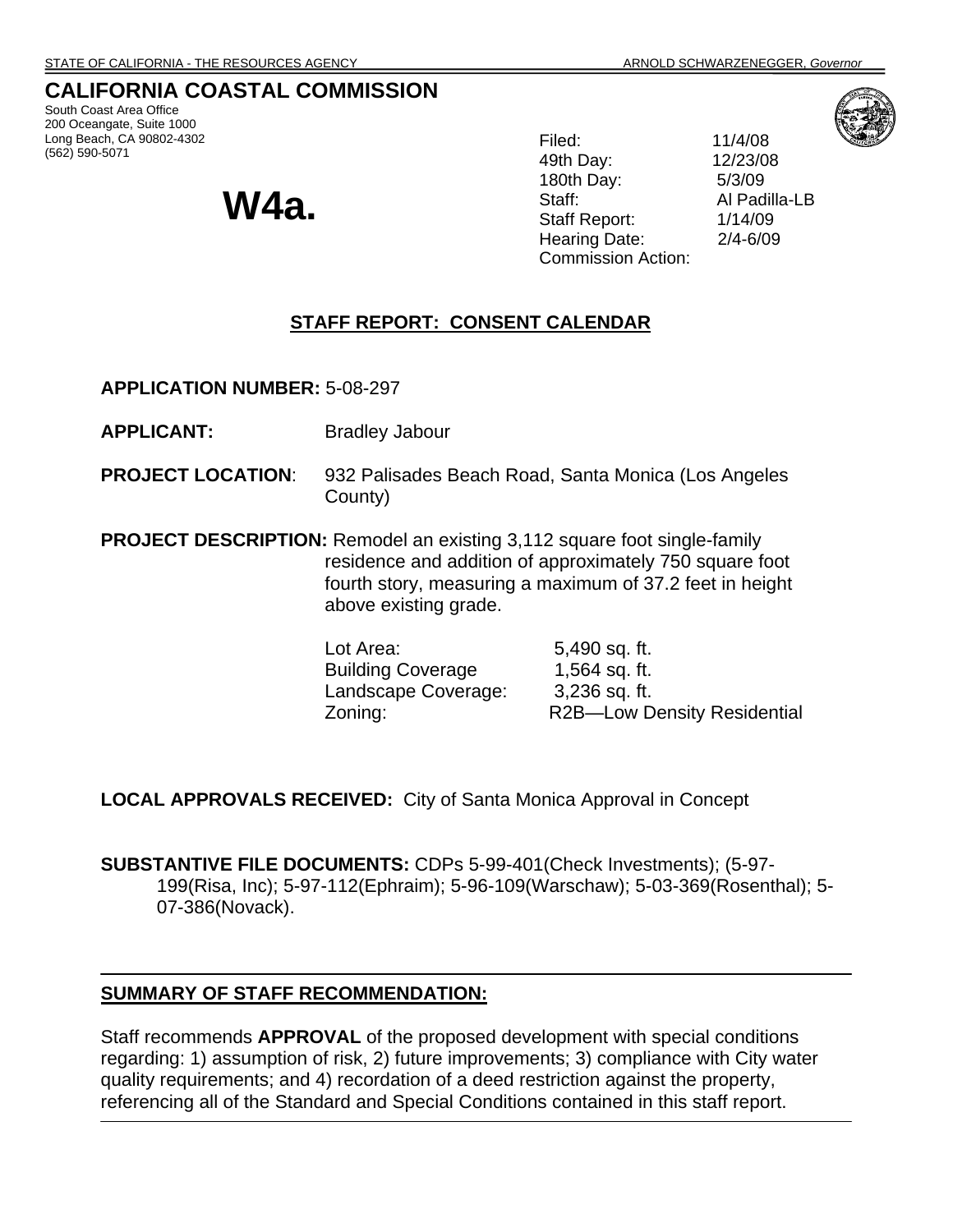# **CALIFORNIA COASTAL COMMISSION**

South Coast Area Office 200 Oceangate, Suite 1000 Long Beach, CA 90802-4302 (562) 590-5071

**W4a.**

Filed: 11/4/08 49th Day: 12/23/08 180th Day: 5/3/09 Staff: Al Padilla-LB Staff Report: 1/14/09 Hearing Date: 2/4-6/09 Commission Action:

## **STAFF REPORT: CONSENT CALENDAR**

**APPLICATION NUMBER:** 5-08-297

**APPLICANT:** Bradley Jabour

- **PROJECT LOCATION**: 932 Palisades Beach Road, Santa Monica (Los Angeles County)
- **PROJECT DESCRIPTION:** Remodel an existing 3,112 square foot single-family residence and addition of approximately 750 square foot fourth story, measuring a maximum of 37.2 feet in height above existing grade.

Lot Area: 5,490 sq. ft. Building Coverage 1,564 sq. ft. Landscape Coverage: 3,236 sq. ft. Zoning: R2B—Low Density Residential

**LOCAL APPROVALS RECEIVED:** City of Santa Monica Approval in Concept

**SUBSTANTIVE FILE DOCUMENTS:** CDPs 5-99-401(Check Investments); (5-97- 199(Risa, Inc); 5-97-112(Ephraim); 5-96-109(Warschaw); 5-03-369(Rosenthal); 5- 07-386(Novack).

#### **SUMMARY OF STAFF RECOMMENDATION:**

Staff recommends **APPROVAL** of the proposed development with special conditions regarding: 1) assumption of risk, 2) future improvements; 3) compliance with City water quality requirements; and 4) recordation of a deed restriction against the property, referencing all of the Standard and Special Conditions contained in this staff report.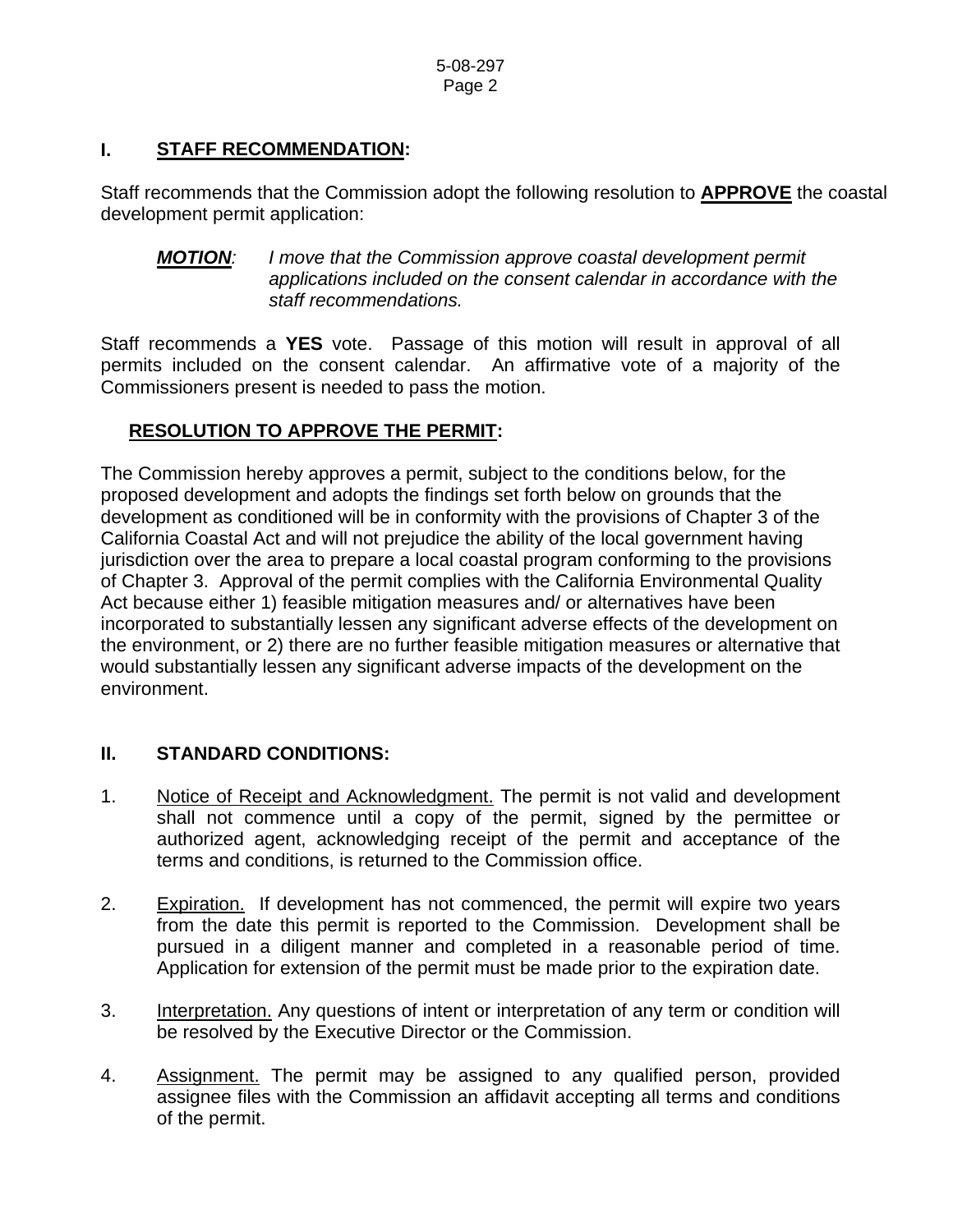### **I. STAFF RECOMMENDATION:**

Staff recommends that the Commission adopt the following resolution to **APPROVE** the coastal development permit application:

*MOTION: I move that the Commission approve coastal development permit applications included on the consent calendar in accordance with the staff recommendations.* 

Staff recommends a **YES** vote. Passage of this motion will result in approval of all permits included on the consent calendar. An affirmative vote of a majority of the Commissioners present is needed to pass the motion.

## **RESOLUTION TO APPROVE THE PERMIT:**

The Commission hereby approves a permit, subject to the conditions below, for the proposed development and adopts the findings set forth below on grounds that the development as conditioned will be in conformity with the provisions of Chapter 3 of the California Coastal Act and will not prejudice the ability of the local government having jurisdiction over the area to prepare a local coastal program conforming to the provisions of Chapter 3. Approval of the permit complies with the California Environmental Quality Act because either 1) feasible mitigation measures and/ or alternatives have been incorporated to substantially lessen any significant adverse effects of the development on the environment, or 2) there are no further feasible mitigation measures or alternative that would substantially lessen any significant adverse impacts of the development on the environment.

## **II. STANDARD CONDITIONS:**

- 1. Notice of Receipt and Acknowledgment. The permit is not valid and development shall not commence until a copy of the permit, signed by the permittee or authorized agent, acknowledging receipt of the permit and acceptance of the terms and conditions, is returned to the Commission office.
- 2. Expiration. If development has not commenced, the permit will expire two years from the date this permit is reported to the Commission. Development shall be pursued in a diligent manner and completed in a reasonable period of time. Application for extension of the permit must be made prior to the expiration date.
- 3. Interpretation. Any questions of intent or interpretation of any term or condition will be resolved by the Executive Director or the Commission.
- 4. Assignment. The permit may be assigned to any qualified person, provided assignee files with the Commission an affidavit accepting all terms and conditions of the permit.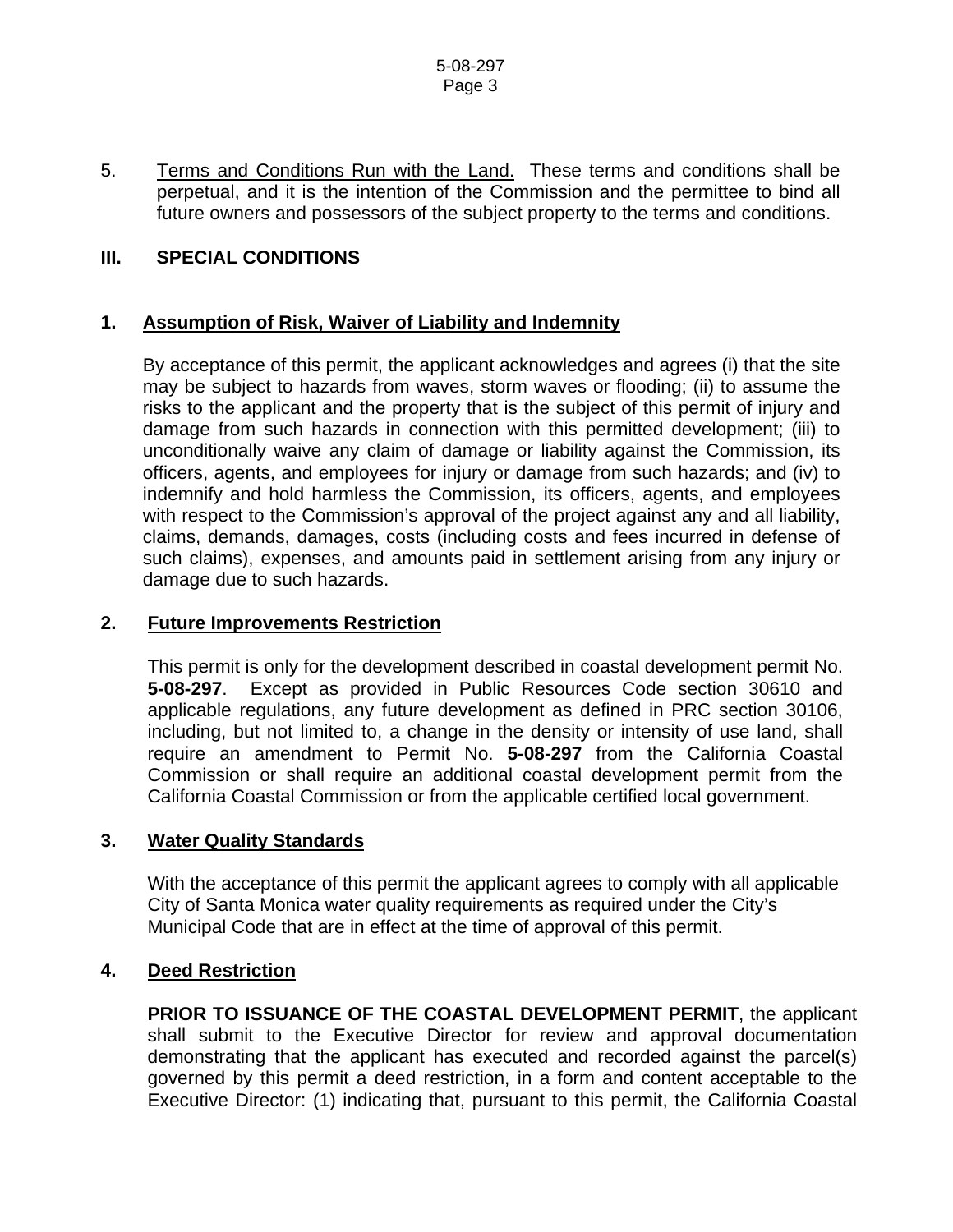5. Terms and Conditions Run with the Land. These terms and conditions shall be perpetual, and it is the intention of the Commission and the permittee to bind all future owners and possessors of the subject property to the terms and conditions.

### **III. SPECIAL CONDITIONS**

#### **1. Assumption of Risk, Waiver of Liability and Indemnity**

By acceptance of this permit, the applicant acknowledges and agrees (i) that the site may be subject to hazards from waves, storm waves or flooding; (ii) to assume the risks to the applicant and the property that is the subject of this permit of injury and damage from such hazards in connection with this permitted development; (iii) to unconditionally waive any claim of damage or liability against the Commission, its officers, agents, and employees for injury or damage from such hazards; and (iv) to indemnify and hold harmless the Commission, its officers, agents, and employees with respect to the Commission's approval of the project against any and all liability, claims, demands, damages, costs (including costs and fees incurred in defense of such claims), expenses, and amounts paid in settlement arising from any injury or damage due to such hazards.

#### **2. Future Improvements Restriction**

 This permit is only for the development described in coastal development permit No. **5-08-297**. Except as provided in Public Resources Code section 30610 and applicable regulations, any future development as defined in PRC section 30106, including, but not limited to, a change in the density or intensity of use land, shall require an amendment to Permit No. **5-08-297** from the California Coastal Commission or shall require an additional coastal development permit from the California Coastal Commission or from the applicable certified local government.

#### **3. Water Quality Standards**

With the acceptance of this permit the applicant agrees to comply with all applicable City of Santa Monica water quality requirements as required under the City's Municipal Code that are in effect at the time of approval of this permit.

#### **4. Deed Restriction**

**PRIOR TO ISSUANCE OF THE COASTAL DEVELOPMENT PERMIT**, the applicant shall submit to the Executive Director for review and approval documentation demonstrating that the applicant has executed and recorded against the parcel(s) governed by this permit a deed restriction, in a form and content acceptable to the Executive Director: (1) indicating that, pursuant to this permit, the California Coastal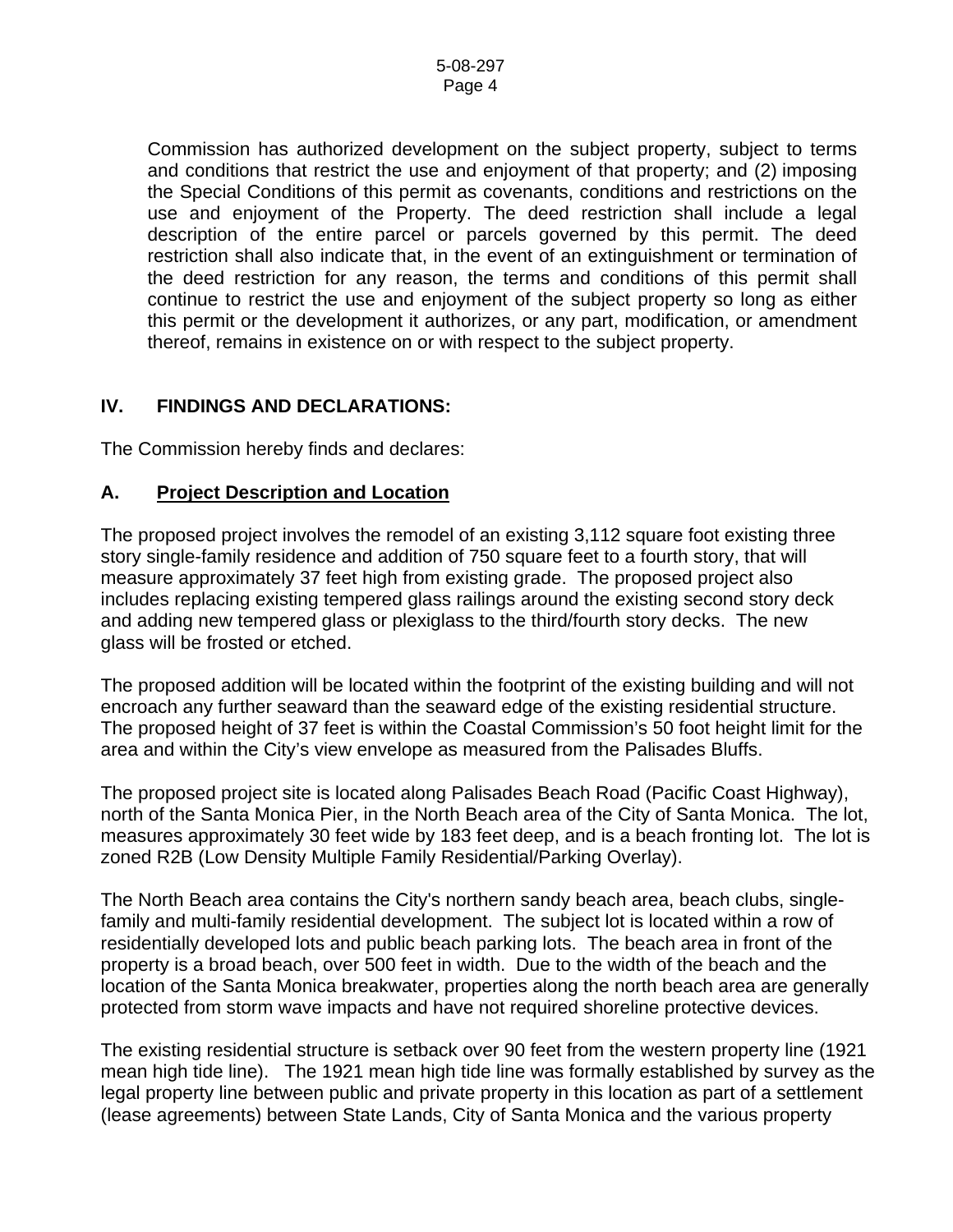Commission has authorized development on the subject property, subject to terms and conditions that restrict the use and enjoyment of that property; and (2) imposing the Special Conditions of this permit as covenants, conditions and restrictions on the use and enjoyment of the Property. The deed restriction shall include a legal description of the entire parcel or parcels governed by this permit. The deed restriction shall also indicate that, in the event of an extinguishment or termination of the deed restriction for any reason, the terms and conditions of this permit shall continue to restrict the use and enjoyment of the subject property so long as either this permit or the development it authorizes, or any part, modification, or amendment thereof, remains in existence on or with respect to the subject property.

### **IV. FINDINGS AND DECLARATIONS:**

The Commission hereby finds and declares:

#### **A. Project Description and Location**

The proposed project involves the remodel of an existing 3,112 square foot existing three story single-family residence and addition of 750 square feet to a fourth story, that will measure approximately 37 feet high from existing grade. The proposed project also includes replacing existing tempered glass railings around the existing second story deck and adding new tempered glass or plexiglass to the third/fourth story decks. The new glass will be frosted or etched.

The proposed addition will be located within the footprint of the existing building and will not encroach any further seaward than the seaward edge of the existing residential structure. The proposed height of 37 feet is within the Coastal Commission's 50 foot height limit for the area and within the City's view envelope as measured from the Palisades Bluffs.

The proposed project site is located along Palisades Beach Road (Pacific Coast Highway), north of the Santa Monica Pier, in the North Beach area of the City of Santa Monica. The lot, measures approximately 30 feet wide by 183 feet deep, and is a beach fronting lot. The lot is zoned R2B (Low Density Multiple Family Residential/Parking Overlay).

The North Beach area contains the City's northern sandy beach area, beach clubs, singlefamily and multi-family residential development. The subject lot is located within a row of residentially developed lots and public beach parking lots. The beach area in front of the property is a broad beach, over 500 feet in width. Due to the width of the beach and the location of the Santa Monica breakwater, properties along the north beach area are generally protected from storm wave impacts and have not required shoreline protective devices.

The existing residential structure is setback over 90 feet from the western property line (1921 mean high tide line). The 1921 mean high tide line was formally established by survey as the legal property line between public and private property in this location as part of a settlement (lease agreements) between State Lands, City of Santa Monica and the various property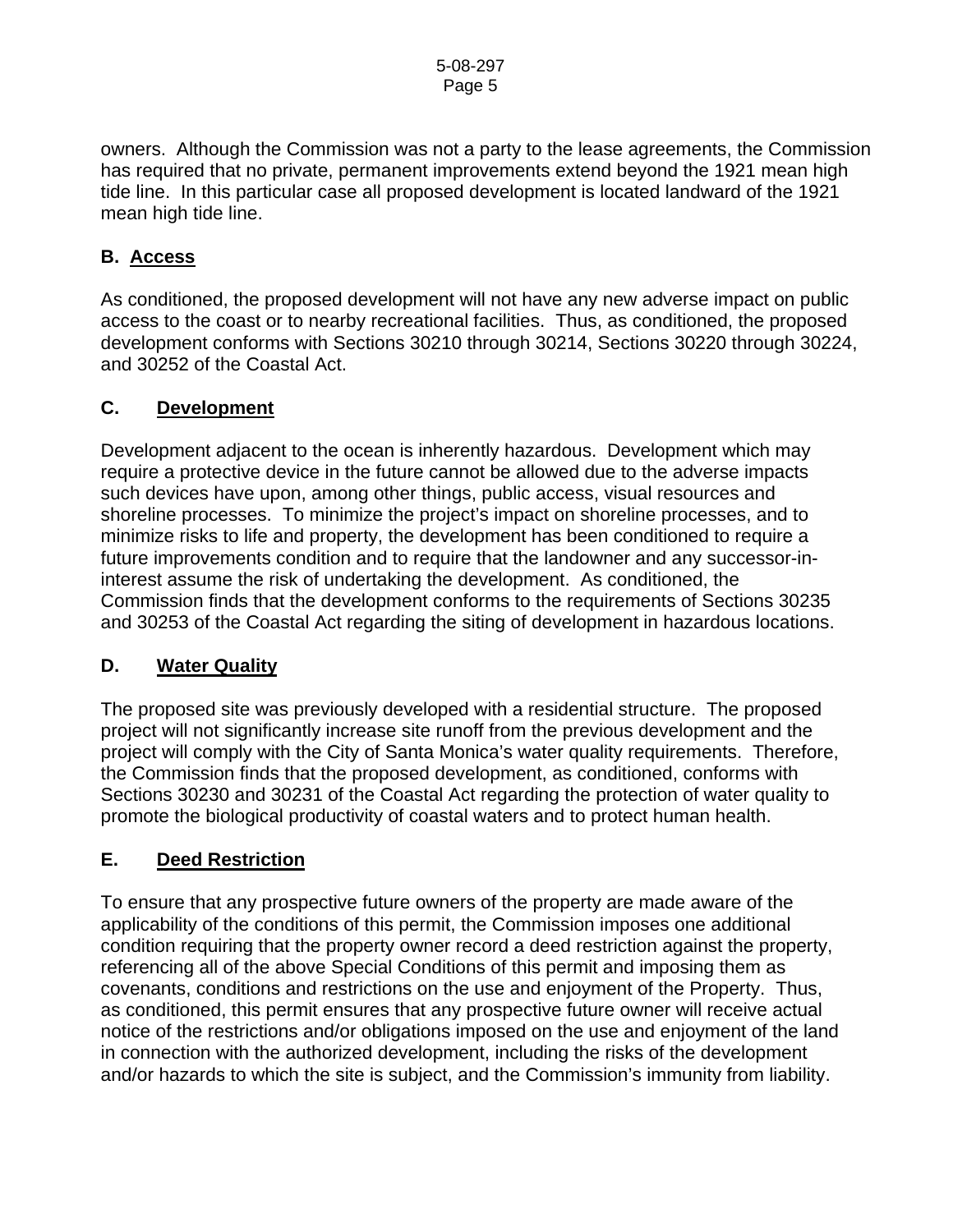owners. Although the Commission was not a party to the lease agreements, the Commission has required that no private, permanent improvements extend beyond the 1921 mean high tide line. In this particular case all proposed development is located landward of the 1921 mean high tide line.

## **B. Access**

As conditioned, the proposed development will not have any new adverse impact on public access to the coast or to nearby recreational facilities. Thus, as conditioned, the proposed development conforms with Sections 30210 through 30214, Sections 30220 through 30224, and 30252 of the Coastal Act.

### **C. Development**

Development adjacent to the ocean is inherently hazardous. Development which may require a protective device in the future cannot be allowed due to the adverse impacts such devices have upon, among other things, public access, visual resources and shoreline processes. To minimize the project's impact on shoreline processes, and to minimize risks to life and property, the development has been conditioned to require a future improvements condition and to require that the landowner and any successor-ininterest assume the risk of undertaking the development. As conditioned, the Commission finds that the development conforms to the requirements of Sections 30235 and 30253 of the Coastal Act regarding the siting of development in hazardous locations.

## **D. Water Quality**

The proposed site was previously developed with a residential structure. The proposed project will not significantly increase site runoff from the previous development and the project will comply with the City of Santa Monica's water quality requirements. Therefore, the Commission finds that the proposed development, as conditioned, conforms with Sections 30230 and 30231 of the Coastal Act regarding the protection of water quality to promote the biological productivity of coastal waters and to protect human health.

## **E. Deed Restriction**

To ensure that any prospective future owners of the property are made aware of the applicability of the conditions of this permit, the Commission imposes one additional condition requiring that the property owner record a deed restriction against the property, referencing all of the above Special Conditions of this permit and imposing them as covenants, conditions and restrictions on the use and enjoyment of the Property. Thus, as conditioned, this permit ensures that any prospective future owner will receive actual notice of the restrictions and/or obligations imposed on the use and enjoyment of the land in connection with the authorized development, including the risks of the development and/or hazards to which the site is subject, and the Commission's immunity from liability.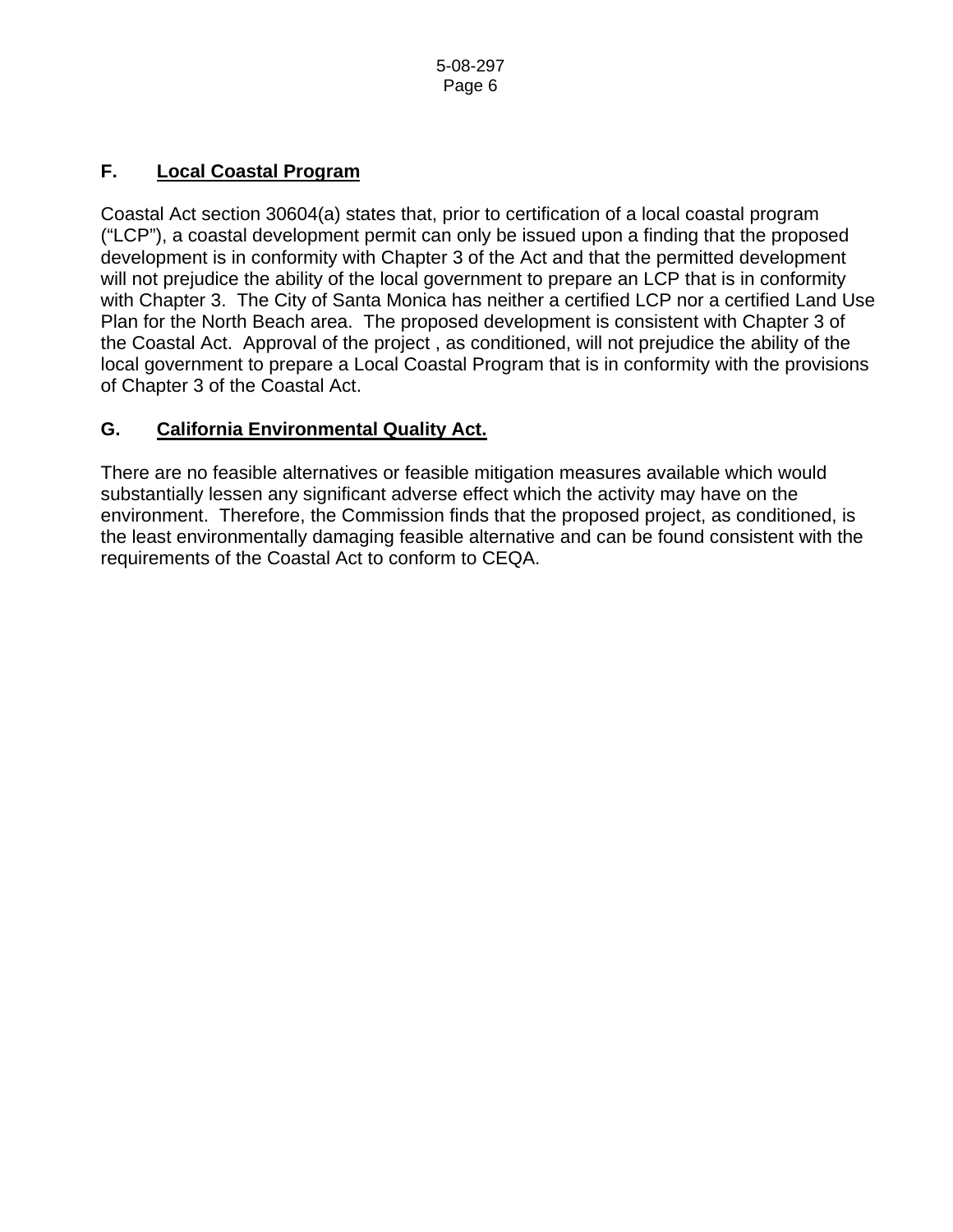# **F. Local Coastal Program**

Coastal Act section 30604(a) states that, prior to certification of a local coastal program ("LCP"), a coastal development permit can only be issued upon a finding that the proposed development is in conformity with Chapter 3 of the Act and that the permitted development will not prejudice the ability of the local government to prepare an LCP that is in conformity with Chapter 3. The City of Santa Monica has neither a certified LCP nor a certified Land Use Plan for the North Beach area. The proposed development is consistent with Chapter 3 of the Coastal Act. Approval of the project , as conditioned, will not prejudice the ability of the local government to prepare a Local Coastal Program that is in conformity with the provisions of Chapter 3 of the Coastal Act.

## **G. California Environmental Quality Act.**

There are no feasible alternatives or feasible mitigation measures available which would substantially lessen any significant adverse effect which the activity may have on the environment. Therefore, the Commission finds that the proposed project, as conditioned, is the least environmentally damaging feasible alternative and can be found consistent with the requirements of the Coastal Act to conform to CEQA.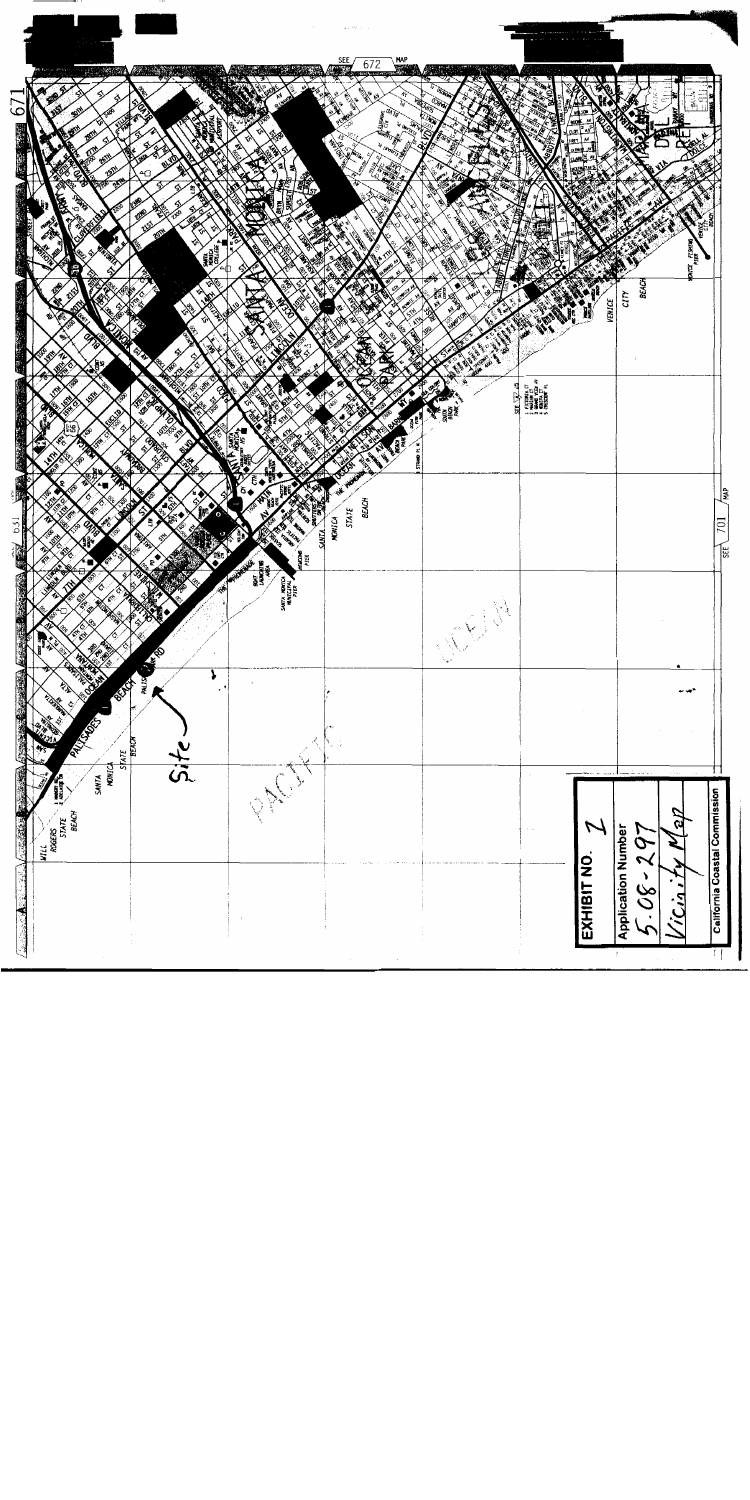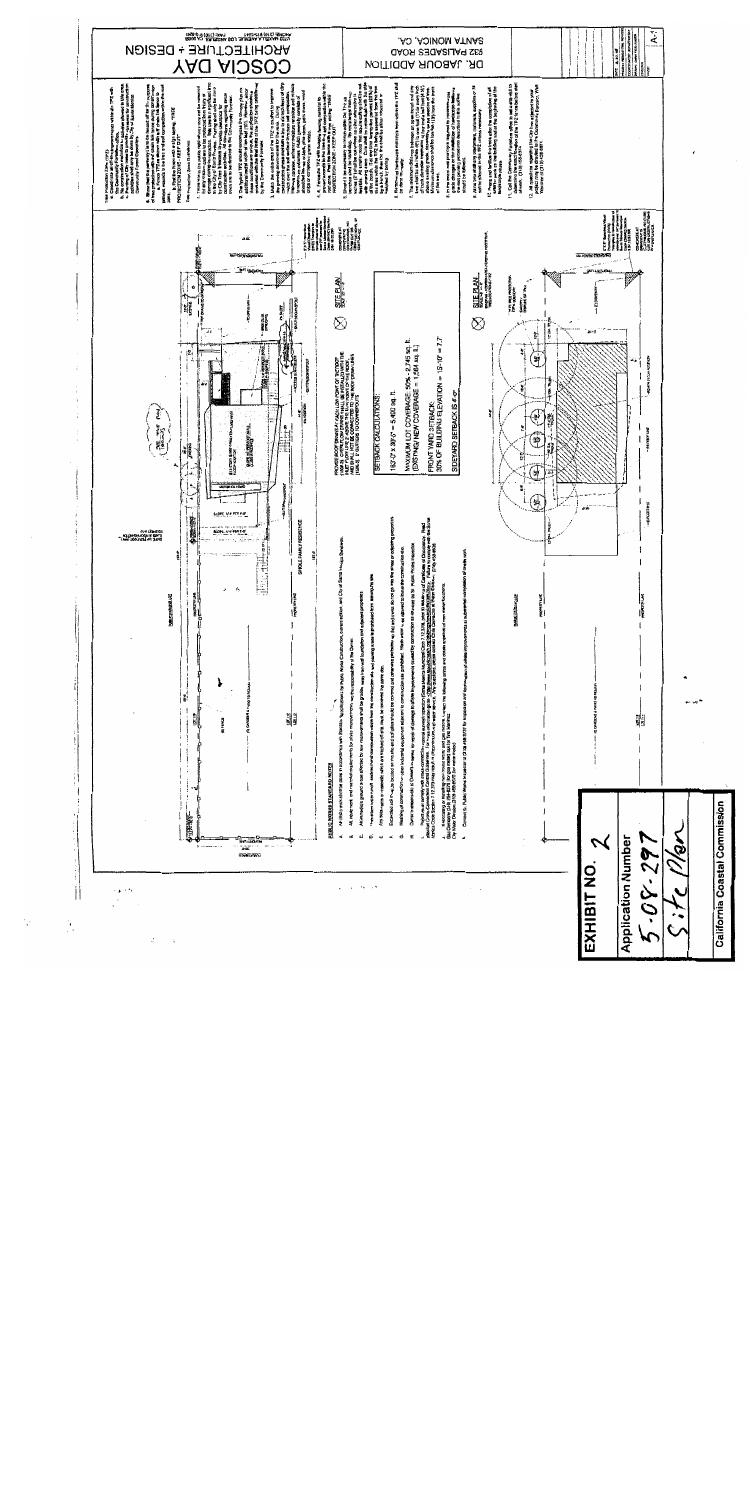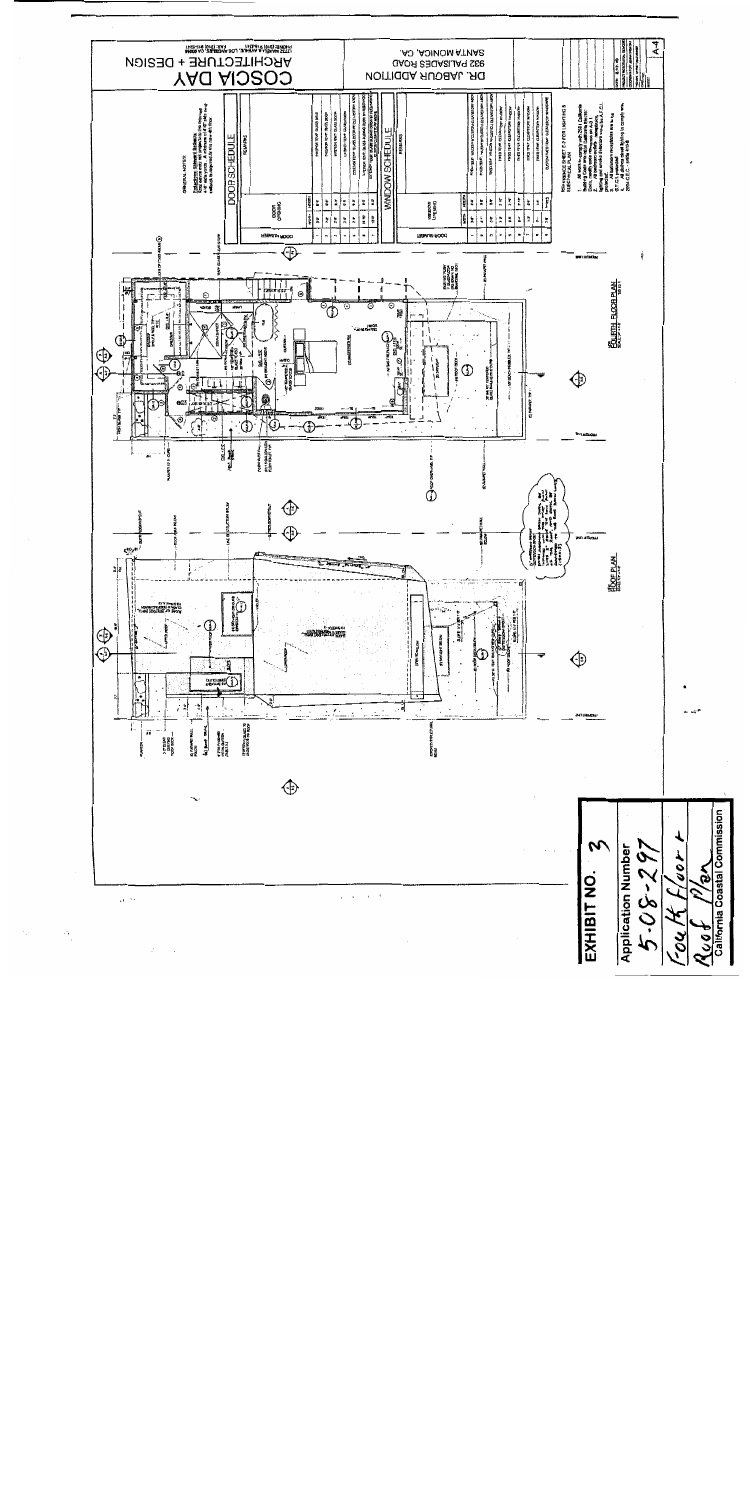